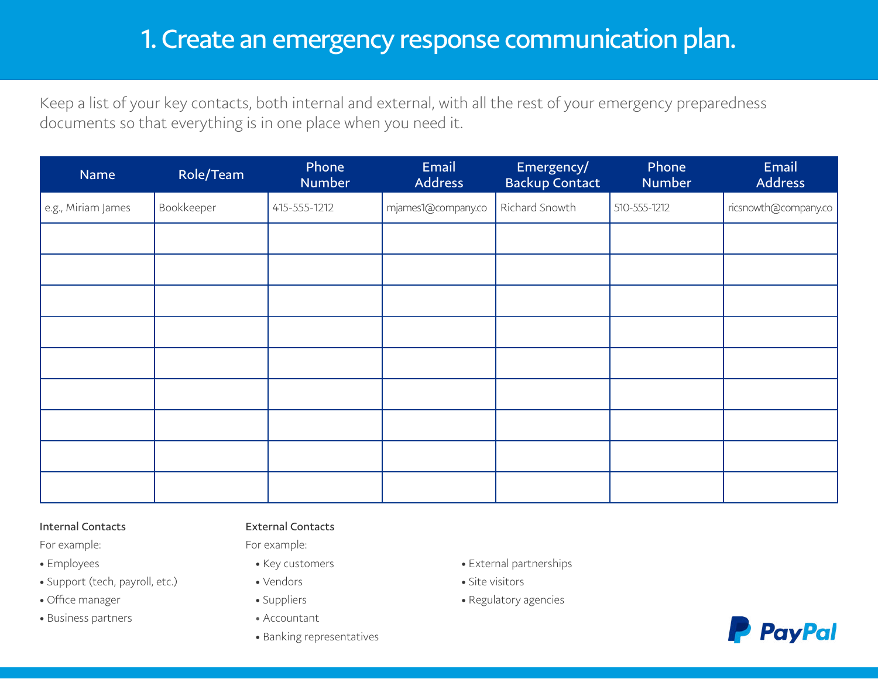# 1. Create an emergency response communication plan.

Keep a list of your key contacts, both internal and external, with all the rest of your emergency preparedness documents so that everything is in one place when you need it.

| Name               | Role/Team  | Phone<br>Number | Email<br>Address   | Emergency/<br><b>Backup Contact</b> | Phone<br>Number | Email<br>Address     |
|--------------------|------------|-----------------|--------------------|-------------------------------------|-----------------|----------------------|
| e.g., Miriam James | Bookkeeper | 415-555-1212    | mjames1@company.co | Richard Snowth                      | 510-555-1212    | ricsnowth@company.co |
|                    |            |                 |                    |                                     |                 |                      |
|                    |            |                 |                    |                                     |                 |                      |
|                    |            |                 |                    |                                     |                 |                      |
|                    |            |                 |                    |                                     |                 |                      |
|                    |            |                 |                    |                                     |                 |                      |
|                    |            |                 |                    |                                     |                 |                      |
|                    |            |                 |                    |                                     |                 |                      |
|                    |            |                 |                    |                                     |                 |                      |
|                    |            |                 |                    |                                     |                 |                      |

### Internal Contacts

For example:

- Employees
- Support (tech, payroll, etc.)
- Office manager
- Business partners

# External Contacts

For example:

- Key customers
- Vendors
- Suppliers
- Accountant
- Banking representatives
- External partnerships
- Site visitors
- Regulatory agencies

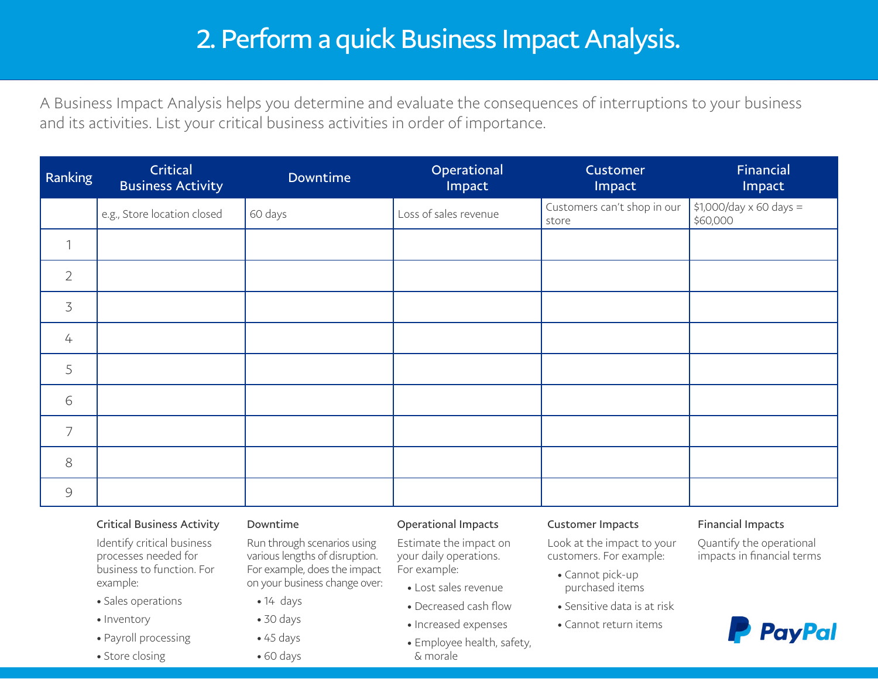# 2. Perform a quick Business Impact Analysis.

A Business Impact Analysis helps you determine and evaluate the consequences of interruptions to your business and its activities. List your critical business activities in order of importance.

| Ranking        | Critical<br><b>Business Activity</b> | Downtime | Operational<br>Impact | Customer<br>Impact                   | Financial<br>Impact                 |
|----------------|--------------------------------------|----------|-----------------------|--------------------------------------|-------------------------------------|
|                | e.g., Store location closed          | 60 days  | Loss of sales revenue | Customers can't shop in our<br>store | \$1,000/day x 60 days =<br>\$60,000 |
| $\mathcal{I}$  |                                      |          |                       |                                      |                                     |
| $\overline{2}$ |                                      |          |                       |                                      |                                     |
| $\overline{3}$ |                                      |          |                       |                                      |                                     |
| $\overline{4}$ |                                      |          |                       |                                      |                                     |
| 5              |                                      |          |                       |                                      |                                     |
| 6              |                                      |          |                       |                                      |                                     |
| $\overline{7}$ |                                      |          |                       |                                      |                                     |
| $8\,$          |                                      |          |                       |                                      |                                     |
| 9              |                                      |          |                       |                                      |                                     |

# Critical Business Activity

Identify critical business processes needed for business to function. For example:

- Sales operations
- Inventory
- Payroll processing
- Store closing

#### Downtime

Run through scenarios using various lengths of disruption. For example, does the impact on your business change over:

- $\bullet$  14 days
- 30 days
- $\bullet$  45 days

• 60 days

# Operational Impacts

Estimate the impact on your daily operations. For example:

- Lost sales revenue
- Decreased cash flow
- Increased expenses
- Employee health, safety, & morale

#### Customer Impacts

Look at the impact to your customers. For example:

- Cannot pick-up purchased items
- Sensitive data is at risk
- Cannot return items

### Financial Impacts

Quantify the operational impacts in financial terms